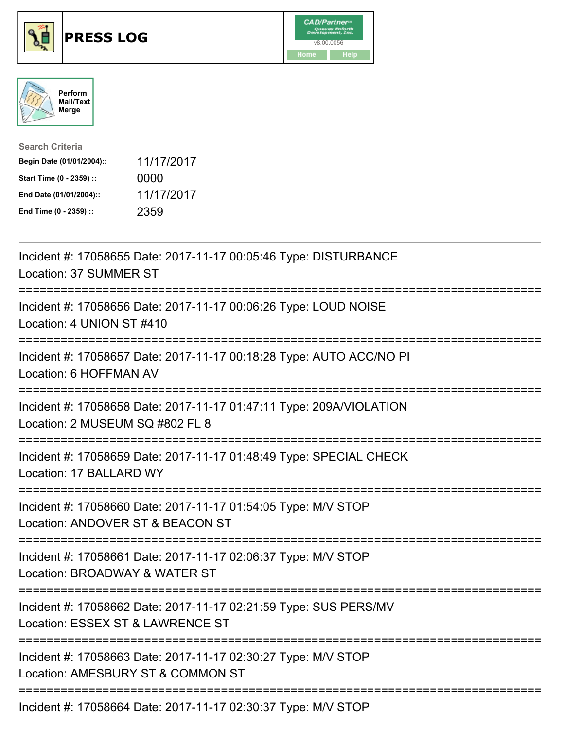





| <b>Search Criteria</b>    |            |
|---------------------------|------------|
| Begin Date (01/01/2004):: | 11/17/2017 |
| Start Time (0 - 2359) ::  | 0000       |
| End Date (01/01/2004)::   | 11/17/2017 |
| End Time (0 - 2359) ::    | 2359       |

| Incident #: 17058655 Date: 2017-11-17 00:05:46 Type: DISTURBANCE<br>Location: 37 SUMMER ST                                                           |
|------------------------------------------------------------------------------------------------------------------------------------------------------|
| Incident #: 17058656 Date: 2017-11-17 00:06:26 Type: LOUD NOISE<br>Location: 4 UNION ST #410                                                         |
| Incident #: 17058657 Date: 2017-11-17 00:18:28 Type: AUTO ACC/NO PI<br>Location: 6 HOFFMAN AV                                                        |
| Incident #: 17058658 Date: 2017-11-17 01:47:11 Type: 209A/VIOLATION<br>Location: 2 MUSEUM SQ #802 FL 8                                               |
| Incident #: 17058659 Date: 2017-11-17 01:48:49 Type: SPECIAL CHECK<br>Location: 17 BALLARD WY<br>======================================              |
| Incident #: 17058660 Date: 2017-11-17 01:54:05 Type: M/V STOP<br>Location: ANDOVER ST & BEACON ST<br>----------------------------<br>--------------- |
| Incident #: 17058661 Date: 2017-11-17 02:06:37 Type: M/V STOP<br>Location: BROADWAY & WATER ST                                                       |
| Incident #: 17058662 Date: 2017-11-17 02:21:59 Type: SUS PERS/MV<br>Location: ESSEX ST & LAWRENCE ST                                                 |
| Incident #: 17058663 Date: 2017-11-17 02:30:27 Type: M/V STOP<br>Location: AMESBURY ST & COMMON ST<br>--------------------------                     |
| Incident #: 17058664 Date: 2017-11-17 02:30:37 Type: M/V STOP                                                                                        |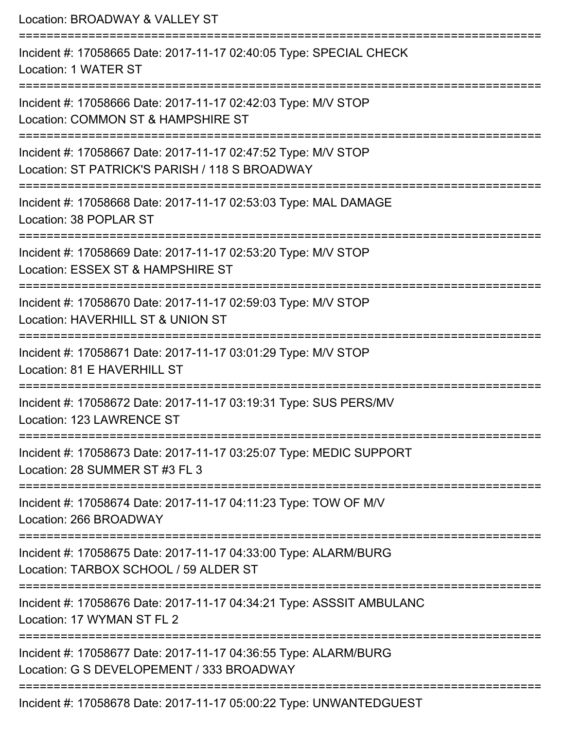Location: BROADWAY & VALLEY ST =========================================================================== Incident #: 17058665 Date: 2017-11-17 02:40:05 Type: SPECIAL CHECK Location: 1 WATER ST =========================================================================== Incident #: 17058666 Date: 2017-11-17 02:42:03 Type: M/V STOP Location: COMMON ST & HAMPSHIRE ST =========================================================================== Incident #: 17058667 Date: 2017-11-17 02:47:52 Type: M/V STOP Location: ST PATRICK'S PARISH / 118 S BROADWAY =========================================================================== Incident #: 17058668 Date: 2017-11-17 02:53:03 Type: MAL DAMAGE Location: 38 POPLAR ST =========================================================================== Incident #: 17058669 Date: 2017-11-17 02:53:20 Type: M/V STOP Location: ESSEX ST & HAMPSHIRE ST =========================================================================== Incident #: 17058670 Date: 2017-11-17 02:59:03 Type: M/V STOP Location: HAVERHILL ST & UNION ST =========================================================================== Incident #: 17058671 Date: 2017-11-17 03:01:29 Type: M/V STOP Location: 81 F HAVERHILL ST =========================================================================== Incident #: 17058672 Date: 2017-11-17 03:19:31 Type: SUS PERS/MV Location: 123 LAWRENCE ST =========================================================================== Incident #: 17058673 Date: 2017-11-17 03:25:07 Type: MEDIC SUPPORT Location: 28 SUMMER ST #3 FL 3 =========================================================================== Incident #: 17058674 Date: 2017-11-17 04:11:23 Type: TOW OF M/V Location: 266 BROADWAY =========================================================================== Incident #: 17058675 Date: 2017-11-17 04:33:00 Type: ALARM/BURG Location: TARBOX SCHOOL / 59 ALDER ST =========================================================================== Incident #: 17058676 Date: 2017-11-17 04:34:21 Type: ASSSIT AMBULANC Location: 17 WYMAN ST FL 2 =========================================================================== Incident #: 17058677 Date: 2017-11-17 04:36:55 Type: ALARM/BURG Location: G S DEVELOPEMENT / 333 BROADWAY =========================================================================== Incident #: 17058678 Date: 2017-11-17 05:00:22 Type: UNWANTEDGUEST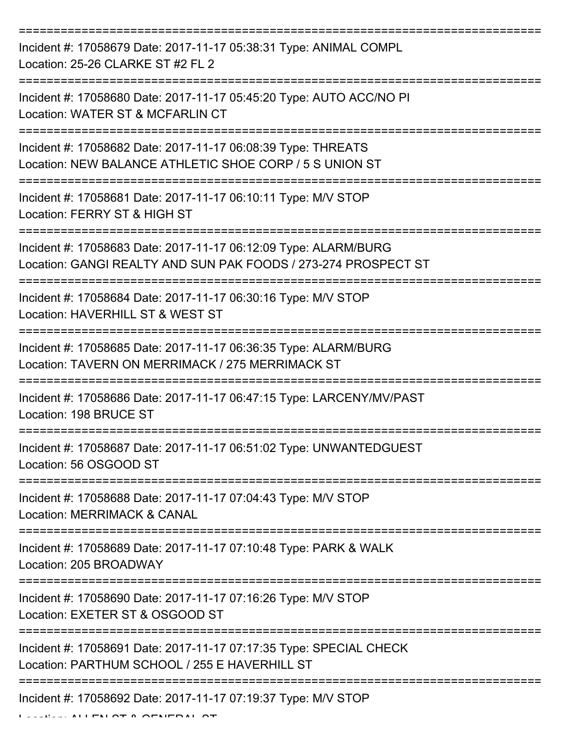| Incident #: 17058679 Date: 2017-11-17 05:38:31 Type: ANIMAL COMPL<br>Location: 25-26 CLARKE ST #2 FL 2                            |
|-----------------------------------------------------------------------------------------------------------------------------------|
| Incident #: 17058680 Date: 2017-11-17 05:45:20 Type: AUTO ACC/NO PI<br>Location: WATER ST & MCFARLIN CT                           |
| Incident #: 17058682 Date: 2017-11-17 06:08:39 Type: THREATS<br>Location: NEW BALANCE ATHLETIC SHOE CORP / 5 S UNION ST           |
| Incident #: 17058681 Date: 2017-11-17 06:10:11 Type: M/V STOP<br>Location: FERRY ST & HIGH ST                                     |
| Incident #: 17058683 Date: 2017-11-17 06:12:09 Type: ALARM/BURG<br>Location: GANGI REALTY AND SUN PAK FOODS / 273-274 PROSPECT ST |
| Incident #: 17058684 Date: 2017-11-17 06:30:16 Type: M/V STOP<br>Location: HAVERHILL ST & WEST ST                                 |
| Incident #: 17058685 Date: 2017-11-17 06:36:35 Type: ALARM/BURG<br>Location: TAVERN ON MERRIMACK / 275 MERRIMACK ST               |
| Incident #: 17058686 Date: 2017-11-17 06:47:15 Type: LARCENY/MV/PAST<br>Location: 198 BRUCE ST                                    |
| Incident #: 17058687 Date: 2017-11-17 06:51:02 Type: UNWANTEDGUEST<br>Location: 56 OSGOOD ST                                      |
| Incident #: 17058688 Date: 2017-11-17 07:04:43 Type: M/V STOP<br><b>Location: MERRIMACK &amp; CANAL</b>                           |
| Incident #: 17058689 Date: 2017-11-17 07:10:48 Type: PARK & WALK<br>Location: 205 BROADWAY                                        |
| Incident #: 17058690 Date: 2017-11-17 07:16:26 Type: M/V STOP<br>Location: EXETER ST & OSGOOD ST                                  |
| Incident #: 17058691 Date: 2017-11-17 07:17:35 Type: SPECIAL CHECK<br>Location: PARTHUM SCHOOL / 255 E HAVERHILL ST               |
| Incident #: 17058692 Date: 2017-11-17 07:19:37 Type: M/V STOP                                                                     |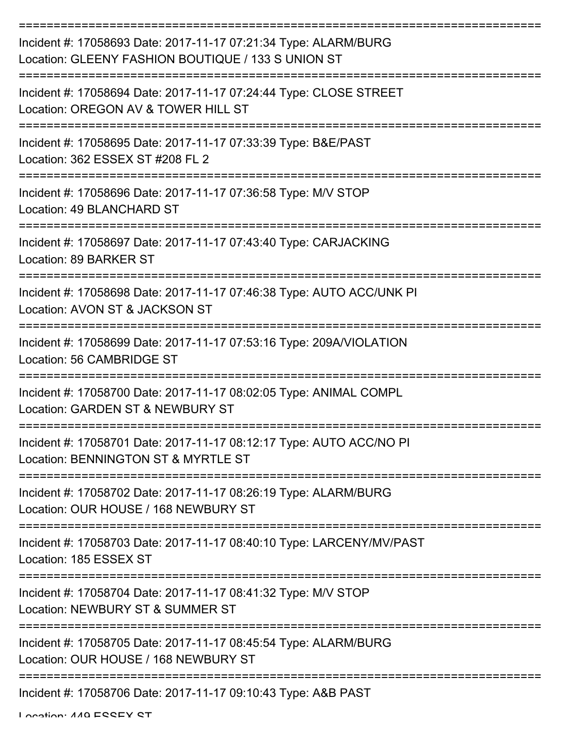| Incident #: 17058693 Date: 2017-11-17 07:21:34 Type: ALARM/BURG<br>Location: GLEENY FASHION BOUTIQUE / 133 S UNION ST |
|-----------------------------------------------------------------------------------------------------------------------|
| Incident #: 17058694 Date: 2017-11-17 07:24:44 Type: CLOSE STREET<br>Location: OREGON AV & TOWER HILL ST              |
| Incident #: 17058695 Date: 2017-11-17 07:33:39 Type: B&E/PAST<br>Location: 362 ESSEX ST #208 FL 2                     |
| Incident #: 17058696 Date: 2017-11-17 07:36:58 Type: M/V STOP<br>Location: 49 BLANCHARD ST                            |
| Incident #: 17058697 Date: 2017-11-17 07:43:40 Type: CARJACKING<br>Location: 89 BARKER ST                             |
| Incident #: 17058698 Date: 2017-11-17 07:46:38 Type: AUTO ACC/UNK PI<br>Location: AVON ST & JACKSON ST                |
| Incident #: 17058699 Date: 2017-11-17 07:53:16 Type: 209A/VIOLATION<br>Location: 56 CAMBRIDGE ST                      |
| Incident #: 17058700 Date: 2017-11-17 08:02:05 Type: ANIMAL COMPL<br>Location: GARDEN ST & NEWBURY ST                 |
| Incident #: 17058701 Date: 2017-11-17 08:12:17 Type: AUTO ACC/NO PI<br>Location: BENNINGTON ST & MYRTLE ST            |
| Incident #: 17058702 Date: 2017-11-17 08:26:19 Type: ALARM/BURG<br>Location: OUR HOUSE / 168 NEWBURY ST               |
| Incident #: 17058703 Date: 2017-11-17 08:40:10 Type: LARCENY/MV/PAST<br>Location: 185 ESSEX ST                        |
| Incident #: 17058704 Date: 2017-11-17 08:41:32 Type: M/V STOP<br>Location: NEWBURY ST & SUMMER ST                     |
| Incident #: 17058705 Date: 2017-11-17 08:45:54 Type: ALARM/BURG<br>Location: OUR HOUSE / 168 NEWBURY ST               |
| Incident #: 17058706 Date: 2017-11-17 09:10:43 Type: A&B PAST                                                         |

Location: 440 ESSEY ST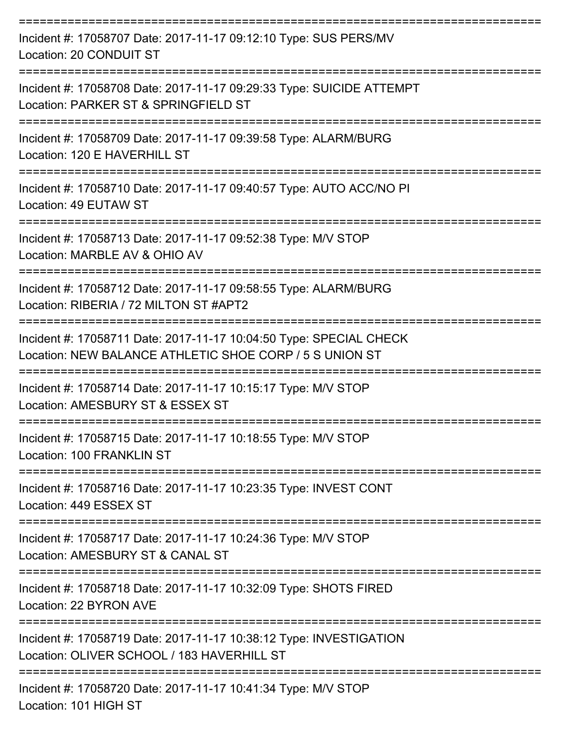| Incident #: 17058707 Date: 2017-11-17 09:12:10 Type: SUS PERS/MV<br>Location: 20 CONDUIT ST                                   |
|-------------------------------------------------------------------------------------------------------------------------------|
| Incident #: 17058708 Date: 2017-11-17 09:29:33 Type: SUICIDE ATTEMPT<br>Location: PARKER ST & SPRINGFIELD ST                  |
| Incident #: 17058709 Date: 2017-11-17 09:39:58 Type: ALARM/BURG<br>Location: 120 E HAVERHILL ST                               |
| Incident #: 17058710 Date: 2017-11-17 09:40:57 Type: AUTO ACC/NO PI<br>Location: 49 EUTAW ST                                  |
| Incident #: 17058713 Date: 2017-11-17 09:52:38 Type: M/V STOP<br>Location: MARBLE AV & OHIO AV                                |
| Incident #: 17058712 Date: 2017-11-17 09:58:55 Type: ALARM/BURG<br>Location: RIBERIA / 72 MILTON ST #APT2                     |
| Incident #: 17058711 Date: 2017-11-17 10:04:50 Type: SPECIAL CHECK<br>Location: NEW BALANCE ATHLETIC SHOE CORP / 5 S UNION ST |
| Incident #: 17058714 Date: 2017-11-17 10:15:17 Type: M/V STOP<br>Location: AMESBURY ST & ESSEX ST                             |
| Incident #: 17058715 Date: 2017-11-17 10:18:55 Type: M/V STOP<br>Location: 100 FRANKLIN ST                                    |
| Incident #: 17058716 Date: 2017-11-17 10:23:35 Type: INVEST CONT<br>Location: 449 ESSEX ST                                    |
| Incident #: 17058717 Date: 2017-11-17 10:24:36 Type: M/V STOP<br>Location: AMESBURY ST & CANAL ST                             |
| Incident #: 17058718 Date: 2017-11-17 10:32:09 Type: SHOTS FIRED<br>Location: 22 BYRON AVE                                    |
| Incident #: 17058719 Date: 2017-11-17 10:38:12 Type: INVESTIGATION<br>Location: OLIVER SCHOOL / 183 HAVERHILL ST              |
| Incident #: 17058720 Date: 2017-11-17 10:41:34 Type: M/V STOP<br>Location: 101 HIGH ST                                        |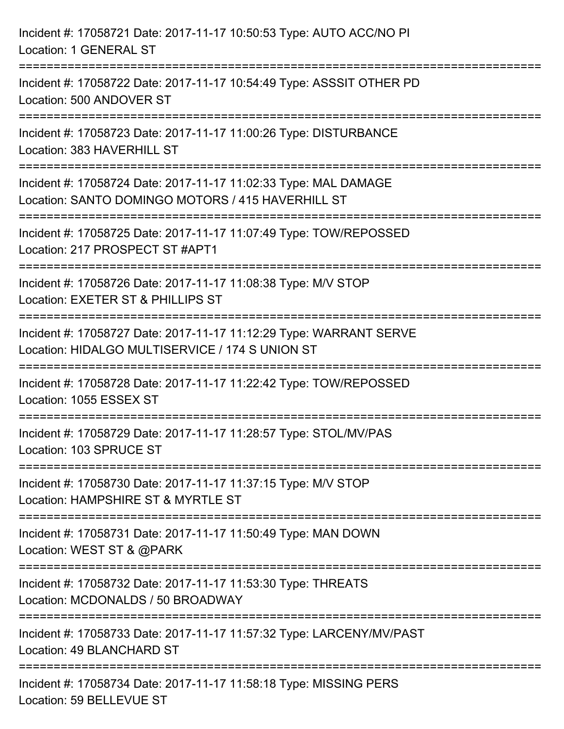| Incident #: 17058721 Date: 2017-11-17 10:50:53 Type: AUTO ACC/NO PI<br>Location: 1 GENERAL ST                                                             |  |
|-----------------------------------------------------------------------------------------------------------------------------------------------------------|--|
| Incident #: 17058722 Date: 2017-11-17 10:54:49 Type: ASSSIT OTHER PD<br>Location: 500 ANDOVER ST                                                          |  |
| Incident #: 17058723 Date: 2017-11-17 11:00:26 Type: DISTURBANCE<br>Location: 383 HAVERHILL ST<br>====================================<br>--------------- |  |
| Incident #: 17058724 Date: 2017-11-17 11:02:33 Type: MAL DAMAGE<br>Location: SANTO DOMINGO MOTORS / 415 HAVERHILL ST                                      |  |
| Incident #: 17058725 Date: 2017-11-17 11:07:49 Type: TOW/REPOSSED<br>Location: 217 PROSPECT ST #APT1<br>================================                  |  |
| Incident #: 17058726 Date: 2017-11-17 11:08:38 Type: M/V STOP<br>Location: EXETER ST & PHILLIPS ST                                                        |  |
| Incident #: 17058727 Date: 2017-11-17 11:12:29 Type: WARRANT SERVE<br>Location: HIDALGO MULTISERVICE / 174 S UNION ST                                     |  |
| Incident #: 17058728 Date: 2017-11-17 11:22:42 Type: TOW/REPOSSED<br>Location: 1055 ESSEX ST                                                              |  |
| Incident #: 17058729 Date: 2017-11-17 11:28:57 Type: STOL/MV/PAS<br>Location: 103 SPRUCE ST                                                               |  |
| Incident #: 17058730 Date: 2017-11-17 11:37:15 Type: M/V STOP<br>Location: HAMPSHIRE ST & MYRTLE ST                                                       |  |
| Incident #: 17058731 Date: 2017-11-17 11:50:49 Type: MAN DOWN<br>Location: WEST ST & @PARK                                                                |  |
| Incident #: 17058732 Date: 2017-11-17 11:53:30 Type: THREATS<br>Location: MCDONALDS / 50 BROADWAY                                                         |  |
| Incident #: 17058733 Date: 2017-11-17 11:57:32 Type: LARCENY/MV/PAST<br>Location: 49 BLANCHARD ST                                                         |  |
| Incident #: 17058734 Date: 2017-11-17 11:58:18 Type: MISSING PERS<br>Location: 59 BELLEVUE ST                                                             |  |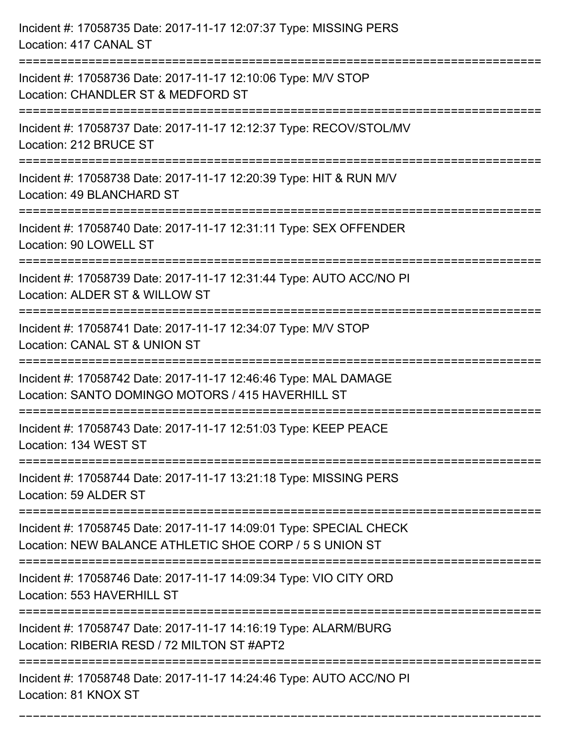| Incident #: 17058735 Date: 2017-11-17 12:07:37 Type: MISSING PERS<br>Location: 417 CANAL ST                                                                   |
|---------------------------------------------------------------------------------------------------------------------------------------------------------------|
| Incident #: 17058736 Date: 2017-11-17 12:10:06 Type: M/V STOP<br>Location: CHANDLER ST & MEDFORD ST                                                           |
| Incident #: 17058737 Date: 2017-11-17 12:12:37 Type: RECOV/STOL/MV<br>Location: 212 BRUCE ST                                                                  |
| Incident #: 17058738 Date: 2017-11-17 12:20:39 Type: HIT & RUN M/V<br>Location: 49 BLANCHARD ST                                                               |
| Incident #: 17058740 Date: 2017-11-17 12:31:11 Type: SEX OFFENDER<br>Location: 90 LOWELL ST                                                                   |
| Incident #: 17058739 Date: 2017-11-17 12:31:44 Type: AUTO ACC/NO PI<br>Location: ALDER ST & WILLOW ST                                                         |
| Incident #: 17058741 Date: 2017-11-17 12:34:07 Type: M/V STOP<br>Location: CANAL ST & UNION ST                                                                |
| Incident #: 17058742 Date: 2017-11-17 12:46:46 Type: MAL DAMAGE<br>Location: SANTO DOMINGO MOTORS / 415 HAVERHILL ST                                          |
| Incident #: 17058743 Date: 2017-11-17 12:51:03 Type: KEEP PEACE<br>Location: 134 WEST ST                                                                      |
| Incident #: 17058744 Date: 2017-11-17 13:21:18 Type: MISSING PERS<br>Location: 59 ALDER ST                                                                    |
| Incident #: 17058745 Date: 2017-11-17 14:09:01 Type: SPECIAL CHECK<br>Location: NEW BALANCE ATHLETIC SHOE CORP / 5 S UNION ST<br>============================ |
| Incident #: 17058746 Date: 2017-11-17 14:09:34 Type: VIO CITY ORD<br>Location: 553 HAVERHILL ST                                                               |
| Incident #: 17058747 Date: 2017-11-17 14:16:19 Type: ALARM/BURG<br>Location: RIBERIA RESD / 72 MILTON ST #APT2                                                |
| Incident #: 17058748 Date: 2017-11-17 14:24:46 Type: AUTO ACC/NO PI<br>Location: 81 KNOX ST                                                                   |

===========================================================================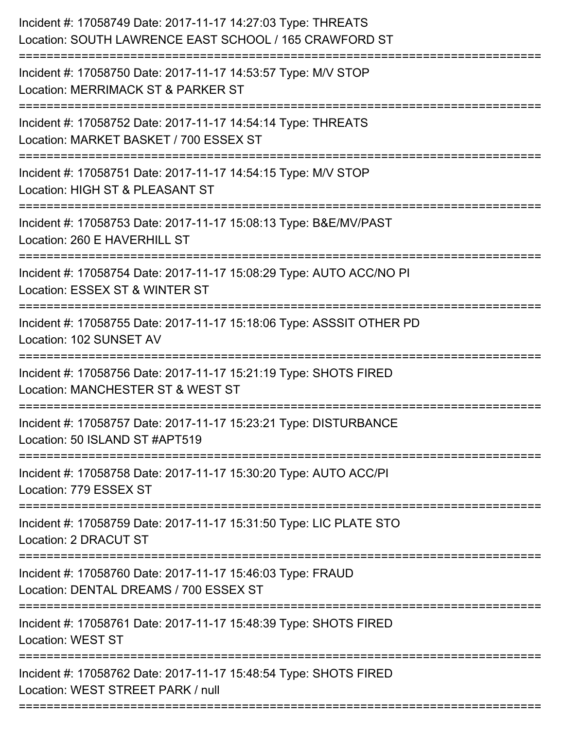| Incident #: 17058749 Date: 2017-11-17 14:27:03 Type: THREATS<br>Location: SOUTH LAWRENCE EAST SCHOOL / 165 CRAWFORD ST                 |
|----------------------------------------------------------------------------------------------------------------------------------------|
| Incident #: 17058750 Date: 2017-11-17 14:53:57 Type: M/V STOP<br>Location: MERRIMACK ST & PARKER ST                                    |
| Incident #: 17058752 Date: 2017-11-17 14:54:14 Type: THREATS<br>Location: MARKET BASKET / 700 ESSEX ST<br>.--------------------------- |
| Incident #: 17058751 Date: 2017-11-17 14:54:15 Type: M/V STOP<br>Location: HIGH ST & PLEASANT ST                                       |
| Incident #: 17058753 Date: 2017-11-17 15:08:13 Type: B&E/MV/PAST<br>Location: 260 E HAVERHILL ST                                       |
| Incident #: 17058754 Date: 2017-11-17 15:08:29 Type: AUTO ACC/NO PI<br>Location: ESSEX ST & WINTER ST                                  |
| Incident #: 17058755 Date: 2017-11-17 15:18:06 Type: ASSSIT OTHER PD<br>Location: 102 SUNSET AV                                        |
| Incident #: 17058756 Date: 2017-11-17 15:21:19 Type: SHOTS FIRED<br>Location: MANCHESTER ST & WEST ST                                  |
| Incident #: 17058757 Date: 2017-11-17 15:23:21 Type: DISTURBANCE<br>Location: 50 ISLAND ST #APT519                                     |
| Incident #: 17058758 Date: 2017-11-17 15:30:20 Type: AUTO ACC/PI<br>Location: 779 ESSEX ST                                             |
| Incident #: 17058759 Date: 2017-11-17 15:31:50 Type: LIC PLATE STO<br>Location: 2 DRACUT ST                                            |
| Incident #: 17058760 Date: 2017-11-17 15:46:03 Type: FRAUD<br>Location: DENTAL DREAMS / 700 ESSEX ST                                   |
| Incident #: 17058761 Date: 2017-11-17 15:48:39 Type: SHOTS FIRED<br><b>Location: WEST ST</b>                                           |
| Incident #: 17058762 Date: 2017-11-17 15:48:54 Type: SHOTS FIRED<br>Location: WEST STREET PARK / null                                  |
|                                                                                                                                        |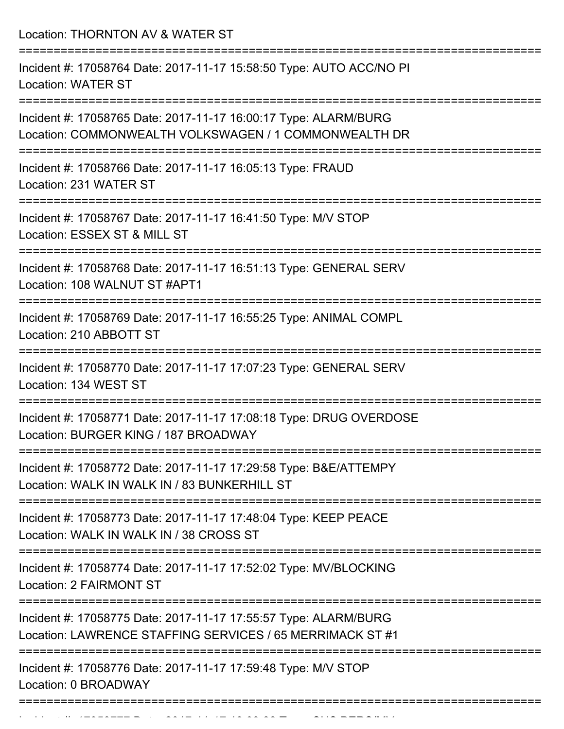Location: THORNTON AV & WATER ST

| Incident #: 17058764 Date: 2017-11-17 15:58:50 Type: AUTO ACC/NO PI<br><b>Location: WATER ST</b>                                    |
|-------------------------------------------------------------------------------------------------------------------------------------|
| Incident #: 17058765 Date: 2017-11-17 16:00:17 Type: ALARM/BURG<br>Location: COMMONWEALTH VOLKSWAGEN / 1 COMMONWEALTH DR            |
| Incident #: 17058766 Date: 2017-11-17 16:05:13 Type: FRAUD<br>Location: 231 WATER ST                                                |
| Incident #: 17058767 Date: 2017-11-17 16:41:50 Type: M/V STOP<br>Location: ESSEX ST & MILL ST                                       |
| Incident #: 17058768 Date: 2017-11-17 16:51:13 Type: GENERAL SERV<br>Location: 108 WALNUT ST #APT1                                  |
| Incident #: 17058769 Date: 2017-11-17 16:55:25 Type: ANIMAL COMPL<br>Location: 210 ABBOTT ST                                        |
| Incident #: 17058770 Date: 2017-11-17 17:07:23 Type: GENERAL SERV<br>Location: 134 WEST ST                                          |
| Incident #: 17058771 Date: 2017-11-17 17:08:18 Type: DRUG OVERDOSE<br>Location: BURGER KING / 187 BROADWAY                          |
| ;==============<br>Incident #: 17058772 Date: 2017-11-17 17:29:58 Type: B&E/ATTEMPY<br>Location: WALK IN WALK IN / 83 BUNKERHILL ST |
| Incident #: 17058773 Date: 2017-11-17 17:48:04 Type: KEEP PEACE<br>Location: WALK IN WALK IN / 38 CROSS ST                          |
| Incident #: 17058774 Date: 2017-11-17 17:52:02 Type: MV/BLOCKING<br><b>Location: 2 FAIRMONT ST</b>                                  |
| Incident #: 17058775 Date: 2017-11-17 17:55:57 Type: ALARM/BURG<br>Location: LAWRENCE STAFFING SERVICES / 65 MERRIMACK ST #1        |
| Incident #: 17058776 Date: 2017-11-17 17:59:48 Type: M/V STOP<br>Location: 0 BROADWAY                                               |
|                                                                                                                                     |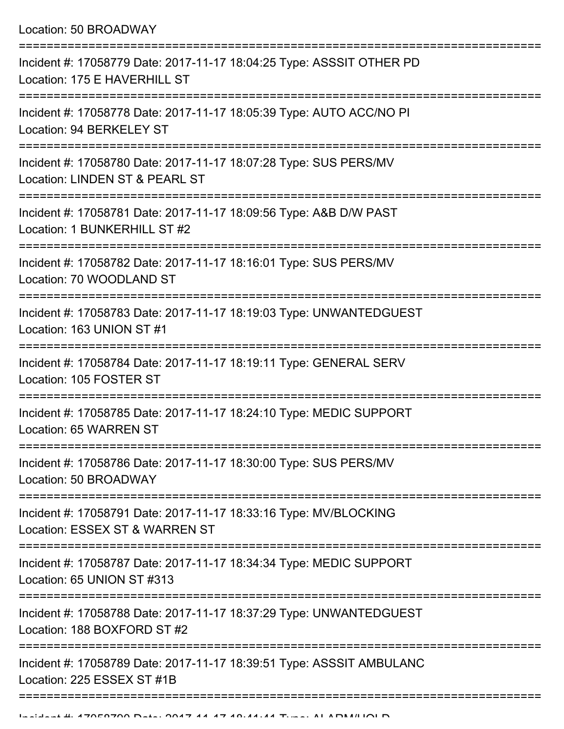Location: 50 BROADWAY

| Incident #: 17058779 Date: 2017-11-17 18:04:25 Type: ASSSIT OTHER PD<br>Location: 175 E HAVERHILL ST |
|------------------------------------------------------------------------------------------------------|
| Incident #: 17058778 Date: 2017-11-17 18:05:39 Type: AUTO ACC/NO PI<br>Location: 94 BERKELEY ST      |
| Incident #: 17058780 Date: 2017-11-17 18:07:28 Type: SUS PERS/MV<br>Location: LINDEN ST & PEARL ST   |
| Incident #: 17058781 Date: 2017-11-17 18:09:56 Type: A&B D/W PAST<br>Location: 1 BUNKERHILL ST #2    |
| Incident #: 17058782 Date: 2017-11-17 18:16:01 Type: SUS PERS/MV<br>Location: 70 WOODLAND ST         |
| Incident #: 17058783 Date: 2017-11-17 18:19:03 Type: UNWANTEDGUEST<br>Location: 163 UNION ST #1      |
| Incident #: 17058784 Date: 2017-11-17 18:19:11 Type: GENERAL SERV<br>Location: 105 FOSTER ST         |
| Incident #: 17058785 Date: 2017-11-17 18:24:10 Type: MEDIC SUPPORT<br>Location: 65 WARREN ST         |
| Incident #: 17058786 Date: 2017-11-17 18:30:00 Type: SUS PERS/MV<br>Location: 50 BROADWAY            |
| Incident #: 17058791 Date: 2017-11-17 18:33:16 Type: MV/BLOCKING<br>Location: ESSEX ST & WARREN ST   |
| Incident #: 17058787 Date: 2017-11-17 18:34:34 Type: MEDIC SUPPORT<br>Location: 65 UNION ST #313     |
| Incident #: 17058788 Date: 2017-11-17 18:37:29 Type: UNWANTEDGUEST<br>Location: 188 BOXFORD ST #2    |
| Incident #: 17058789 Date: 2017-11-17 18:39:51 Type: ASSSIT AMBULANC<br>Location: 225 ESSEX ST #1B   |
|                                                                                                      |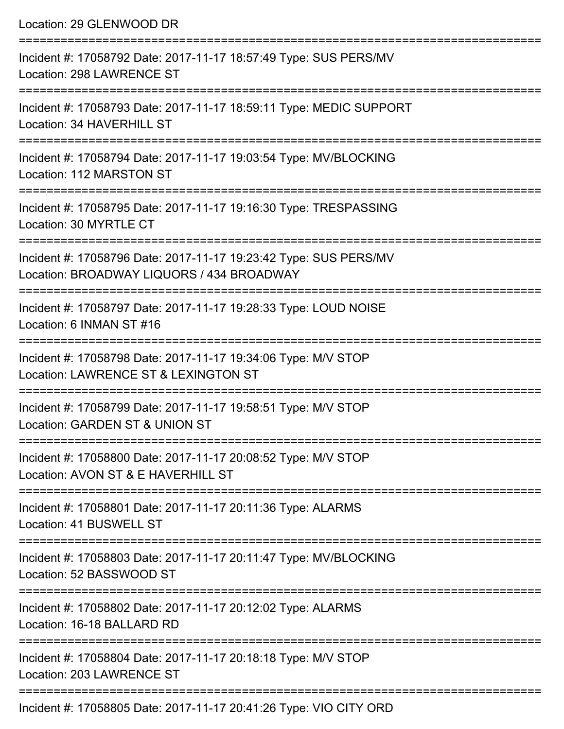| Location: 29 GLENWOOD DR                                                                                                                      |
|-----------------------------------------------------------------------------------------------------------------------------------------------|
| Incident #: 17058792 Date: 2017-11-17 18:57:49 Type: SUS PERS/MV<br>Location: 298 LAWRENCE ST                                                 |
| Incident #: 17058793 Date: 2017-11-17 18:59:11 Type: MEDIC SUPPORT<br>Location: 34 HAVERHILL ST                                               |
| Incident #: 17058794 Date: 2017-11-17 19:03:54 Type: MV/BLOCKING<br>Location: 112 MARSTON ST                                                  |
| Incident #: 17058795 Date: 2017-11-17 19:16:30 Type: TRESPASSING<br>Location: 30 MYRTLE CT                                                    |
| Incident #: 17058796 Date: 2017-11-17 19:23:42 Type: SUS PERS/MV<br>Location: BROADWAY LIQUORS / 434 BROADWAY                                 |
| Incident #: 17058797 Date: 2017-11-17 19:28:33 Type: LOUD NOISE<br>Location: 6 INMAN ST #16                                                   |
| :===================================<br>Incident #: 17058798 Date: 2017-11-17 19:34:06 Type: M/V STOP<br>Location: LAWRENCE ST & LEXINGTON ST |
| Incident #: 17058799 Date: 2017-11-17 19:58:51 Type: M/V STOP<br>Location: GARDEN ST & UNION ST                                               |
| Incident #: 17058800 Date: 2017-11-17 20:08:52 Type: M/V STOP<br>Location: AVON ST & E HAVERHILL ST                                           |
| -------------------------------<br>Incident #: 17058801 Date: 2017-11-17 20:11:36 Type: ALARMS<br>Location: 41 BUSWELL ST                     |
| Incident #: 17058803 Date: 2017-11-17 20:11:47 Type: MV/BLOCKING<br>Location: 52 BASSWOOD ST                                                  |
| Incident #: 17058802 Date: 2017-11-17 20:12:02 Type: ALARMS<br>Location: 16-18 BALLARD RD                                                     |
| Incident #: 17058804 Date: 2017-11-17 20:18:18 Type: M/V STOP<br>Location: 203 LAWRENCE ST                                                    |
| $Inoidont #: 170E900E Data: 2017, 11, 17, 20:11:26, Two: VIO CITV ODD$                                                                        |

Incident #: 17058805 Date: 2017-11-17 20:41:26 Type: VIO CITY ORD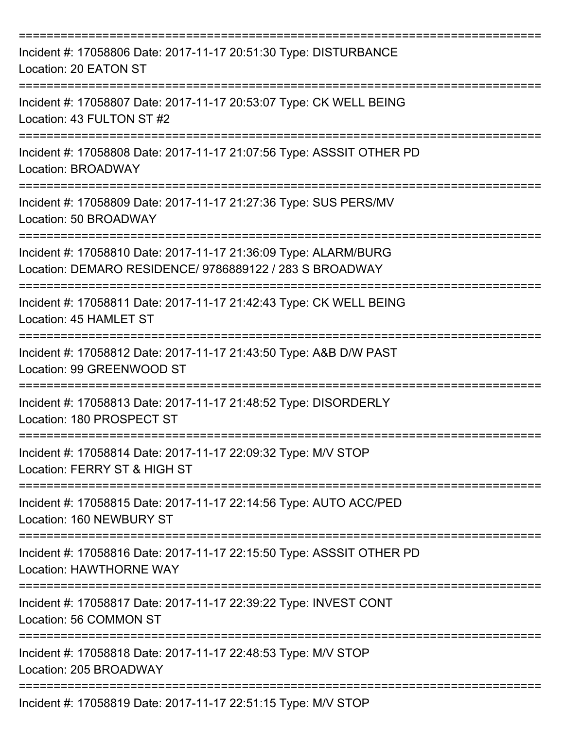| Incident #: 17058806 Date: 2017-11-17 20:51:30 Type: DISTURBANCE<br>Location: 20 EATON ST                                  |
|----------------------------------------------------------------------------------------------------------------------------|
| Incident #: 17058807 Date: 2017-11-17 20:53:07 Type: CK WELL BEING<br>Location: 43 FULTON ST #2                            |
| Incident #: 17058808 Date: 2017-11-17 21:07:56 Type: ASSSIT OTHER PD<br><b>Location: BROADWAY</b>                          |
| Incident #: 17058809 Date: 2017-11-17 21:27:36 Type: SUS PERS/MV<br>Location: 50 BROADWAY                                  |
| Incident #: 17058810 Date: 2017-11-17 21:36:09 Type: ALARM/BURG<br>Location: DEMARO RESIDENCE/ 9786889122 / 283 S BROADWAY |
| Incident #: 17058811 Date: 2017-11-17 21:42:43 Type: CK WELL BEING<br>Location: 45 HAMLET ST                               |
| Incident #: 17058812 Date: 2017-11-17 21:43:50 Type: A&B D/W PAST<br>Location: 99 GREENWOOD ST                             |
| Incident #: 17058813 Date: 2017-11-17 21:48:52 Type: DISORDERLY<br>Location: 180 PROSPECT ST                               |
| Incident #: 17058814 Date: 2017-11-17 22:09:32 Type: M/V STOP<br>Location: FERRY ST & HIGH ST                              |
| Incident #: 17058815 Date: 2017-11-17 22:14:56 Type: AUTO ACC/PED<br>Location: 160 NEWBURY ST                              |
| Incident #: 17058816 Date: 2017-11-17 22:15:50 Type: ASSSIT OTHER PD<br>Location: HAWTHORNE WAY                            |
| Incident #: 17058817 Date: 2017-11-17 22:39:22 Type: INVEST CONT<br>Location: 56 COMMON ST                                 |
| Incident #: 17058818 Date: 2017-11-17 22:48:53 Type: M/V STOP<br>Location: 205 BROADWAY                                    |
| Incident #: 17058819 Date: 2017-11-17 22:51:15 Type: M/V STOP                                                              |